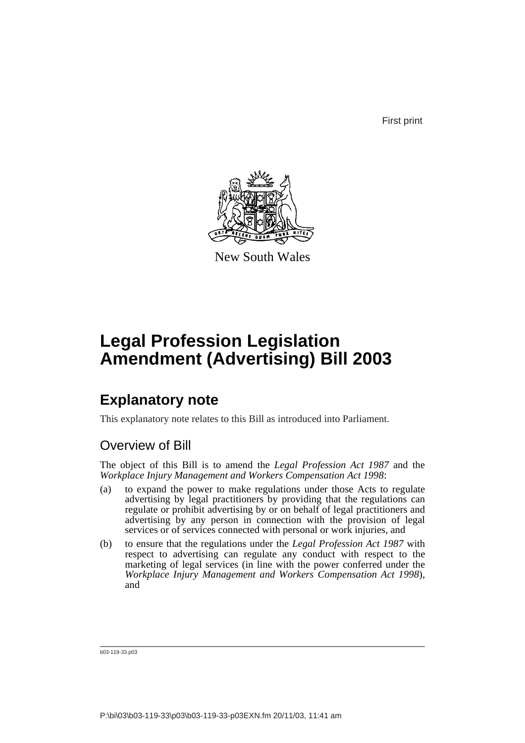First print



New South Wales

# **Legal Profession Legislation Amendment (Advertising) Bill 2003**

## **Explanatory note**

This explanatory note relates to this Bill as introduced into Parliament.

## Overview of Bill

The object of this Bill is to amend the *Legal Profession Act 1987* and the *Workplace Injury Management and Workers Compensation Act 1998*:

- (a) to expand the power to make regulations under those Acts to regulate advertising by legal practitioners by providing that the regulations can regulate or prohibit advertising by or on behalf of legal practitioners and advertising by any person in connection with the provision of legal services or of services connected with personal or work injuries, and
- (b) to ensure that the regulations under the *Legal Profession Act 1987* with respect to advertising can regulate any conduct with respect to the marketing of legal services (in line with the power conferred under the *Workplace Injury Management and Workers Compensation Act 1998*), and

b03-119-33.p03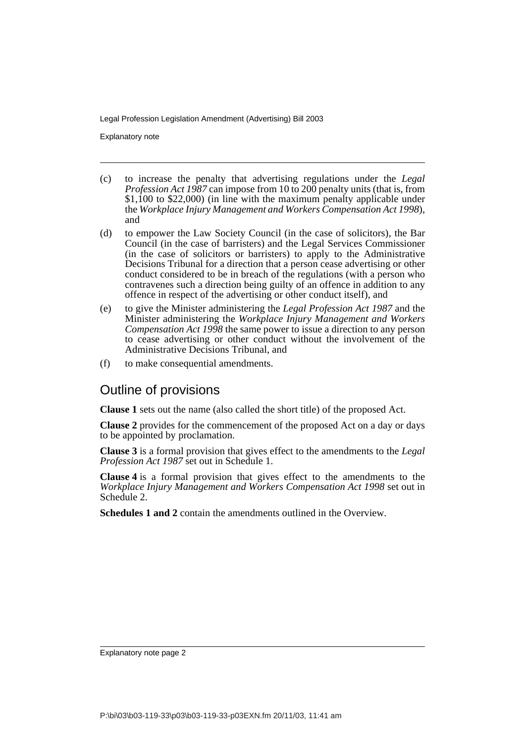Explanatory note

- (c) to increase the penalty that advertising regulations under the *Legal Profession Act 1987* can impose from 10 to 200 penalty units (that is, from \$1,100 to \$22,000) (in line with the maximum penalty applicable under the *Workplace Injury Management and Workers Compensation Act 1998*), and
- (d) to empower the Law Society Council (in the case of solicitors), the Bar Council (in the case of barristers) and the Legal Services Commissioner (in the case of solicitors or barristers) to apply to the Administrative Decisions Tribunal for a direction that a person cease advertising or other conduct considered to be in breach of the regulations (with a person who contravenes such a direction being guilty of an offence in addition to any offence in respect of the advertising or other conduct itself), and
- (e) to give the Minister administering the *Legal Profession Act 1987* and the Minister administering the *Workplace Injury Management and Workers Compensation Act 1998* the same power to issue a direction to any person to cease advertising or other conduct without the involvement of the Administrative Decisions Tribunal, and
- (f) to make consequential amendments.

### Outline of provisions

**Clause 1** sets out the name (also called the short title) of the proposed Act.

**Clause 2** provides for the commencement of the proposed Act on a day or days to be appointed by proclamation.

**Clause 3** is a formal provision that gives effect to the amendments to the *Legal Profession Act 1987* set out in Schedule 1.

**Clause 4** is a formal provision that gives effect to the amendments to the *Workplace Injury Management and Workers Compensation Act 1998* set out in Schedule 2.

**Schedules 1 and 2** contain the amendments outlined in the Overview.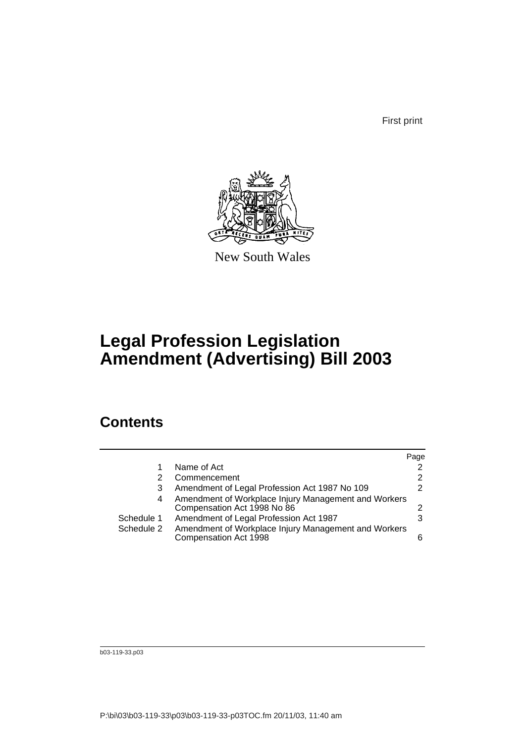First print



New South Wales

# **Legal Profession Legislation Amendment (Advertising) Bill 2003**

## **Contents**

|            |                                                                                     | Page           |
|------------|-------------------------------------------------------------------------------------|----------------|
|            | Name of Act                                                                         | $\overline{2}$ |
|            | Commencement                                                                        | 2              |
|            | Amendment of Legal Profession Act 1987 No 109<br>3                                  | 2              |
| 4          | Amendment of Workplace Injury Management and Workers<br>Compensation Act 1998 No 86 | 2              |
| Schedule 1 | Amendment of Legal Profession Act 1987                                              | 3              |
| Schedule 2 | Amendment of Workplace Injury Management and Workers<br>Compensation Act 1998       | ี              |

b03-119-33.p03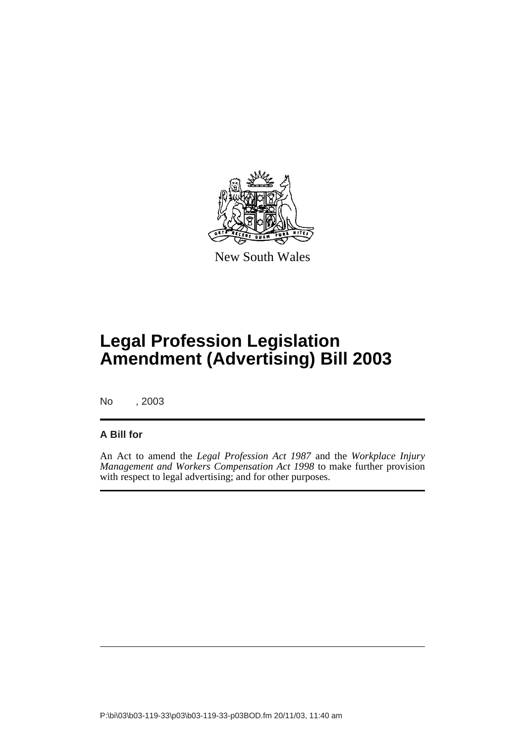

New South Wales

# **Legal Profession Legislation Amendment (Advertising) Bill 2003**

No , 2003

#### **A Bill for**

An Act to amend the *Legal Profession Act 1987* and the *Workplace Injury Management and Workers Compensation Act 1998* to make further provision with respect to legal advertising; and for other purposes.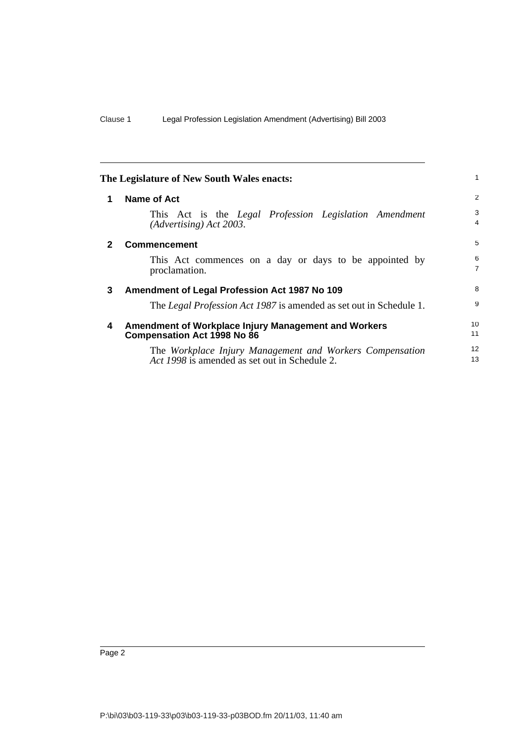|              | The Legislature of New South Wales enacts:                                                                | 1                   |
|--------------|-----------------------------------------------------------------------------------------------------------|---------------------|
| 1            | Name of Act                                                                                               | 2                   |
|              | This Act is the Legal Profession Legislation Amendment<br>$(Adverting)$ Act 2003.                         | 3<br>4              |
| $\mathbf{2}$ | <b>Commencement</b>                                                                                       | 5                   |
|              | This Act commences on a day or days to be appointed by<br>proclamation.                                   | 6<br>$\overline{7}$ |
| 3            | Amendment of Legal Profession Act 1987 No 109                                                             | 8                   |
|              | The <i>Legal Profession Act 1987</i> is amended as set out in Schedule 1.                                 | 9                   |
| 4            | Amendment of Workplace Injury Management and Workers<br><b>Compensation Act 1998 No 86</b>                | 10<br>11            |
|              | The Workplace Injury Management and Workers Compensation<br>Act 1998 is amended as set out in Schedule 2. | 12<br>13            |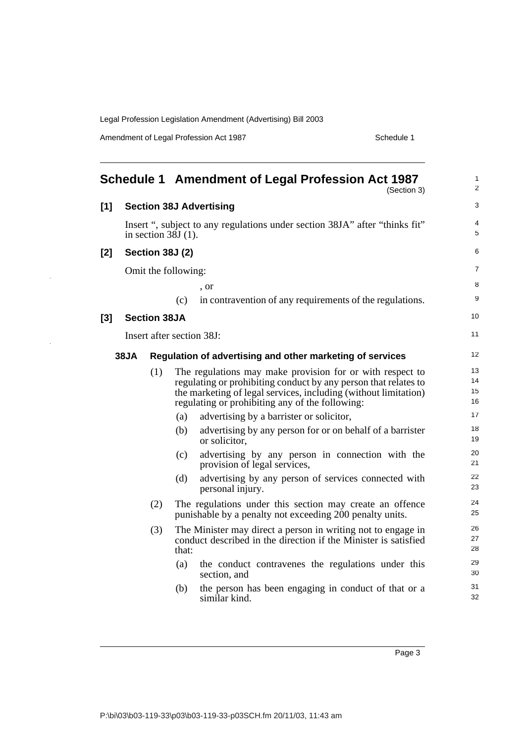Amendment of Legal Profession Act 1987 National Contract Contract Schedule 1

|       |      |                       |       | Schedule 1 Amendment of Legal Profession Act 1987<br>(Section 3)                                                                | $\mathbf{1}$<br>2 |
|-------|------|-----------------------|-------|---------------------------------------------------------------------------------------------------------------------------------|-------------------|
| $[1]$ |      |                       |       | <b>Section 38J Advertising</b>                                                                                                  | 3                 |
|       |      | in section $38J(1)$ . |       | Insert ", subject to any regulations under section 38JA" after "thinks fit"                                                     | 4<br>5            |
| [2]   |      | Section 38J (2)       |       |                                                                                                                                 | 6                 |
|       |      | Omit the following:   |       |                                                                                                                                 | $\overline{7}$    |
|       |      |                       |       | , or                                                                                                                            | 8                 |
|       |      |                       | (c)   | in contravention of any requirements of the regulations.                                                                        | 9                 |
| $[3]$ |      | <b>Section 38JA</b>   |       |                                                                                                                                 | 10                |
|       |      |                       |       | Insert after section 38J:                                                                                                       | 11                |
|       | 38JA |                       |       | Regulation of advertising and other marketing of services                                                                       | 12                |
|       |      | (1)                   |       | The regulations may make provision for or with respect to                                                                       | 13                |
|       |      |                       |       | regulating or prohibiting conduct by any person that relates to                                                                 | 14                |
|       |      |                       |       | the marketing of legal services, including (without limitation)<br>regulating or prohibiting any of the following:              | 15<br>16          |
|       |      |                       | (a)   | advertising by a barrister or solicitor,                                                                                        | 17                |
|       |      |                       | (b)   | advertising by any person for or on behalf of a barrister<br>or solicitor,                                                      | 18<br>19          |
|       |      |                       | (c)   | advertising by any person in connection with the<br>provision of legal services,                                                | 20<br>21          |
|       |      |                       | (d)   | advertising by any person of services connected with<br>personal injury.                                                        | 22<br>23          |
|       |      | (2)                   |       | The regulations under this section may create an offence<br>punishable by a penalty not exceeding 200 penalty units.            | 24<br>25          |
|       |      | (3)                   | that: | The Minister may direct a person in writing not to engage in<br>conduct described in the direction if the Minister is satisfied | 26<br>27<br>28    |
|       |      |                       | (a)   | the conduct contravenes the regulations under this<br>section, and                                                              | 29<br>30          |
|       |      |                       | (b)   | the person has been engaging in conduct of that or a<br>similar kind.                                                           | 31<br>32          |

Page 3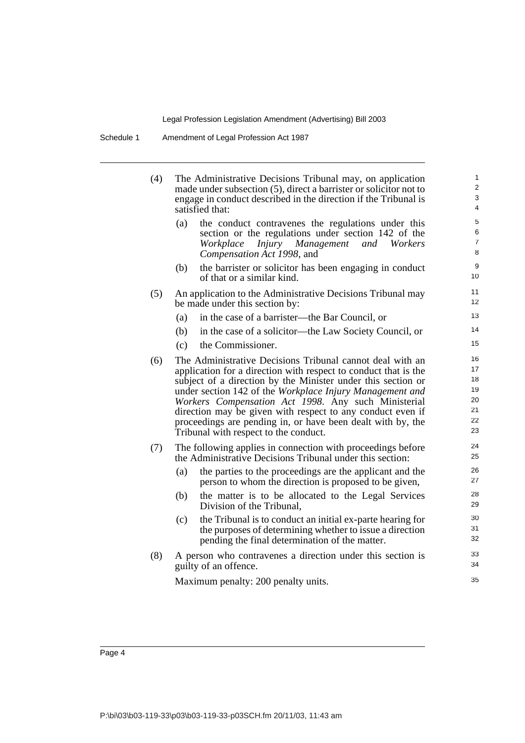Schedule 1 Amendment of Legal Profession Act 1987

| (4) | satisfied that: | The Administrative Decisions Tribunal may, on application<br>made under subsection (5), direct a barrister or solicitor not to<br>engage in conduct described in the direction if the Tribunal is                                                                                                                                                                                                                                                                                     | $\mathbf 1$<br>$\overline{a}$<br>3<br>$\overline{\mathcal{L}}$ |
|-----|-----------------|---------------------------------------------------------------------------------------------------------------------------------------------------------------------------------------------------------------------------------------------------------------------------------------------------------------------------------------------------------------------------------------------------------------------------------------------------------------------------------------|----------------------------------------------------------------|
|     | (a)             | the conduct contravenes the regulations under this<br>section or the regulations under section 142 of the<br>Injury Management and Workers<br>Workplace<br>Compensation Act 1998, and                                                                                                                                                                                                                                                                                                 | 5<br>6<br>$\overline{7}$<br>8                                  |
|     | (b)             | the barrister or solicitor has been engaging in conduct<br>of that or a similar kind.                                                                                                                                                                                                                                                                                                                                                                                                 | 9<br>10                                                        |
| (5) |                 | An application to the Administrative Decisions Tribunal may<br>be made under this section by:                                                                                                                                                                                                                                                                                                                                                                                         | 11<br>12                                                       |
|     | (a)             | in the case of a barrister—the Bar Council, or                                                                                                                                                                                                                                                                                                                                                                                                                                        | 13                                                             |
|     | (b)             | in the case of a solicitor—the Law Society Council, or                                                                                                                                                                                                                                                                                                                                                                                                                                | 14                                                             |
|     | (c)             | the Commissioner.                                                                                                                                                                                                                                                                                                                                                                                                                                                                     | 15                                                             |
| (6) |                 | The Administrative Decisions Tribunal cannot deal with an<br>application for a direction with respect to conduct that is the<br>subject of a direction by the Minister under this section or<br>under section 142 of the Workplace Injury Management and<br>Workers Compensation Act 1998. Any such Ministerial<br>direction may be given with respect to any conduct even if<br>proceedings are pending in, or have been dealt with by, the<br>Tribunal with respect to the conduct. | 16<br>17<br>18<br>19<br>20<br>21<br>22<br>23                   |
| (7) |                 | The following applies in connection with proceedings before<br>the Administrative Decisions Tribunal under this section:                                                                                                                                                                                                                                                                                                                                                              | 24<br>25                                                       |
|     | (a)             | the parties to the proceedings are the applicant and the<br>person to whom the direction is proposed to be given,                                                                                                                                                                                                                                                                                                                                                                     | 26<br>27                                                       |
|     | (b)             | the matter is to be allocated to the Legal Services<br>Division of the Tribunal,                                                                                                                                                                                                                                                                                                                                                                                                      | 28<br>29                                                       |
|     | (c)             | the Tribunal is to conduct an initial ex-parte hearing for<br>the purposes of determining whether to issue a direction<br>pending the final determination of the matter.                                                                                                                                                                                                                                                                                                              | 30<br>31<br>32                                                 |
| (8) |                 | A person who contravenes a direction under this section is<br>guilty of an offence.                                                                                                                                                                                                                                                                                                                                                                                                   | 33<br>34                                                       |
|     |                 | Maximum penalty: 200 penalty units.                                                                                                                                                                                                                                                                                                                                                                                                                                                   | 35                                                             |
|     |                 |                                                                                                                                                                                                                                                                                                                                                                                                                                                                                       |                                                                |

Page 4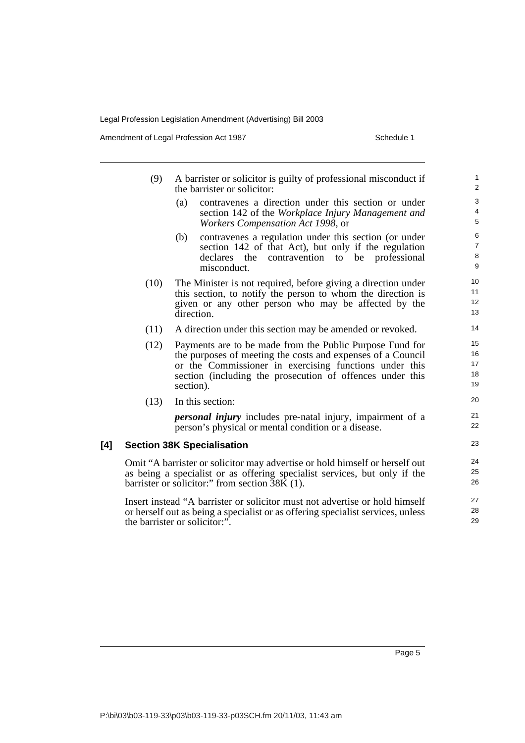Amendment of Legal Profession Act 1987 National Contract Contract Schedule 1

|     | (9)  | A barrister or solicitor is guilty of professional misconduct if<br>the barrister or solicitor:                                                                                                                                                             | $\mathbf{1}$<br>2             |
|-----|------|-------------------------------------------------------------------------------------------------------------------------------------------------------------------------------------------------------------------------------------------------------------|-------------------------------|
|     |      | contravenes a direction under this section or under<br>(a)<br>section 142 of the Workplace Injury Management and<br>Workers Compensation Act 1998, or                                                                                                       | 3<br>4<br>5                   |
|     |      | contravenes a regulation under this section (or under<br>(b)<br>section 142 of that Act), but only if the regulation<br>declares<br>the<br>contravention<br>professional<br>be<br>to<br>misconduct.                                                         | 6<br>$\overline{7}$<br>8<br>9 |
|     | (10) | The Minister is not required, before giving a direction under<br>this section, to notify the person to whom the direction is<br>given or any other person who may be affected by the<br>direction.                                                          | 10<br>11<br>12<br>13          |
|     | (11) | A direction under this section may be amended or revoked.                                                                                                                                                                                                   | 14                            |
|     | (12) | Payments are to be made from the Public Purpose Fund for<br>the purposes of meeting the costs and expenses of a Council<br>or the Commissioner in exercising functions under this<br>section (including the prosecution of offences under this<br>section). | 15<br>16<br>17<br>18<br>19    |
|     | (13) | In this section:                                                                                                                                                                                                                                            | 20                            |
|     |      | <i>personal injury</i> includes pre-natal injury, impairment of a<br>person's physical or mental condition or a disease.                                                                                                                                    | 21<br>22                      |
| [4] |      | <b>Section 38K Specialisation</b>                                                                                                                                                                                                                           | 23                            |
|     |      | Omit "A barrister or solicitor may advertise or hold himself or herself out<br>as being a specialist or as offering specialist services, but only if the<br>barrister or solicitor:" from section 38K (1).                                                  | 24<br>25<br>26                |
|     |      | Insert instead "A barrister or solicitor must not advertise or hold himself<br>or herself out as being a specialist or as offering specialist services, unless<br>the barrister or solicitor:".                                                             | 27<br>28<br>29                |

Page 5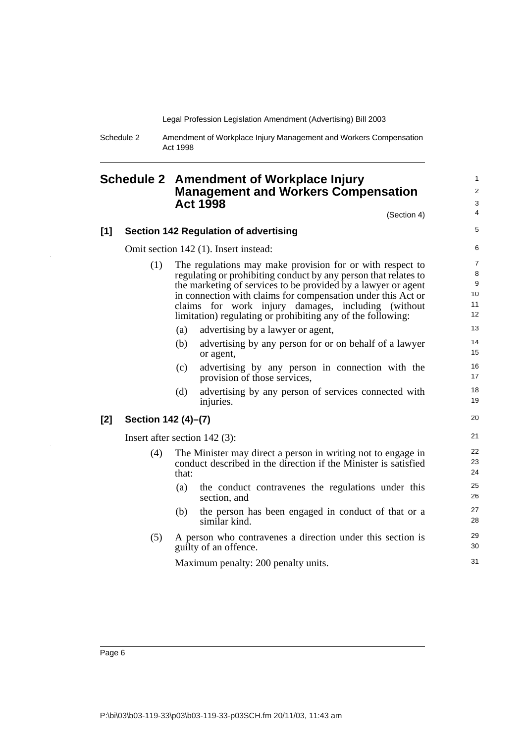Schedule 2 Amendment of Workplace Injury Management and Workers Compensation Act 1998

### **Schedule 2 Amendment of Workplace Injury Management and Workers Compensation Act 1998**

(Section 4)

#### **[1] Section 142 Regulation of advertising**

Omit section 142 (1). Insert instead:

- (1) The regulations may make provision for or with respect to regulating or prohibiting conduct by any person that relates to the marketing of services to be provided by a lawyer or agent in connection with claims for compensation under this Act or claims for work injury damages, including (without limitation) regulating or prohibiting any of the following:
	- (a) advertising by a lawyer or agent,
	- (b) advertising by any person for or on behalf of a lawyer or agent,
	- (c) advertising by any person in connection with the provision of those services,
	- (d) advertising by any person of services connected with injuries.

#### **[2] Section 142 (4)–(7)**

Insert after section 142 (3):

- (4) The Minister may direct a person in writing not to engage in conduct described in the direction if the Minister is satisfied that:
	- (a) the conduct contravenes the regulations under this section, and
	- (b) the person has been engaged in conduct of that or a similar kind.
- (5) A person who contravenes a direction under this section is guilty of an offence.

Maximum penalty: 200 penalty units.